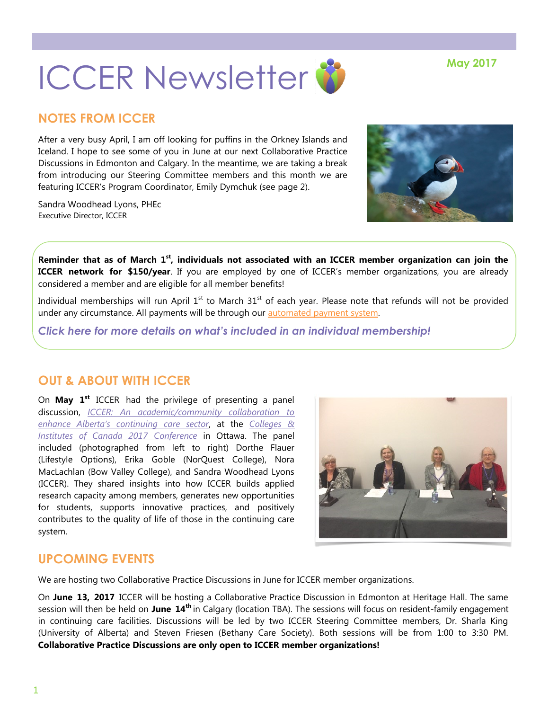# **ICCER Newsletter & May 2017**

# **NOTES FROM ICCER**

After a very busy April, I am off looking for puffins in the Orkney Islands and Iceland. I hope to see some of you in June at our next Collaborative Practice Discussions in Edmonton and Calgary. In the meantime, we are taking a break from introducing our Steering Committee members and this month we are featuring ICCER's Program Coordinator, Emily Dymchuk (see page 2).

Sandra Woodhead Lyons, PHEc Executive Director, ICCER



**Reminder that as of March 1st, individuals not associated with an ICCER member organization can join the ICCER network for \$150/year**. If you are employed by one of ICCER's member organizations, you are already considered a member and are eligible for all member benefits!

Individual memberships will run April  $1<sup>st</sup>$  to March  $31<sup>st</sup>$  of each year. Please note that refunds will not be provided under any circumstance. All payments will be through our [automated payment system.](https://payment.augustana.ualberta.ca/store/Rehab+Medicine+-+ICCER+Store/)

*[Click here for more details on what's included in an individual membership!](http://iccer.ca/im.html)*

# **OUT & ABOUT WITH ICCER**

On **May 1st** ICCER had the privilege of presenting a panel discussion, *[ICCER: An academic/community collaboration to](http://iccer.ca/pdf/news/ICCERpresentationCICan1may17.pdf)  [enhance Alberta's continuing care sector](http://iccer.ca/pdf/news/ICCERpresentationCICan1may17.pdf)*, at the *[Colleges &](https://conference.collegesinstitutes.ca/)  [Institutes of Canada 2017 Conference](https://conference.collegesinstitutes.ca/)* in Ottawa. The panel included (photographed from left to right) Dorthe Flauer (Lifestyle Options), Erika Goble (NorQuest College), Nora MacLachlan (Bow Valley College), and Sandra Woodhead Lyons (ICCER). They shared insights into how ICCER builds applied research capacity among members, generates new opportunities for students, supports innovative practices, and positively contributes to the quality of life of those in the continuing care system.



# **UPCOMING EVENTS**

We are hosting two Collaborative Practice Discussions in June for ICCER member organizations.

On **June 13, 2017** ICCER will be hosting a Collaborative Practice Discussion in Edmonton at Heritage Hall. The same session will then be held on **June 14th** in Calgary (location TBA). The sessions will focus on resident-family engagement in continuing care facilities. Discussions will be led by two ICCER Steering Committee members, Dr. Sharla King (University of Alberta) and Steven Friesen (Bethany Care Society). Both sessions will be from 1:00 to 3:30 PM. **Collaborative Practice Discussions are only open to ICCER member organizations!**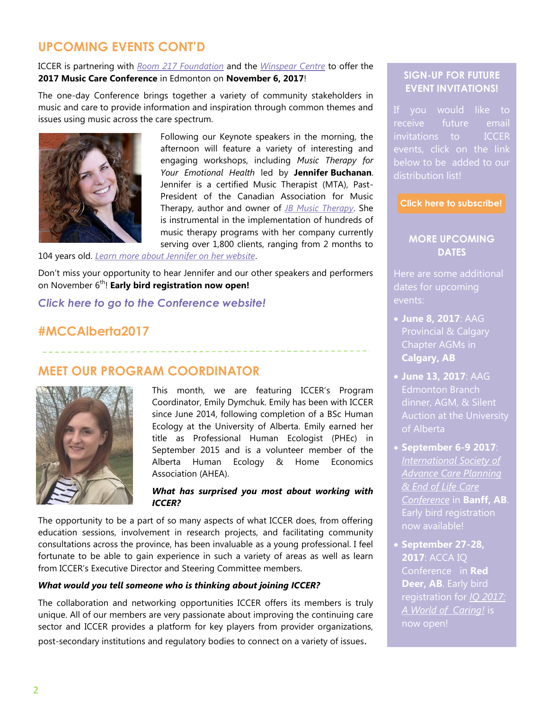# **UPCOMING EVENTS CONT'D**

ICCER is partnering with *[Room 217 Foundation](https://www.room217.ca/)* and the *[Winspear Centre](https://www.winspearcentre.com/wins-home?view=featured)* to offer the **2017 Music Care Conference** in Edmonton on **November 6, 2017**!

The one-day Conference brings together a variety of community stakeholders in music and care to provide information and inspiration through common themes and issues using music across the care spectrum.



Following our Keynote speakers in the morning, the afternoon will feature a variety of interesting and engaging workshops, including *Music Therapy for Your Emotional Health* led by **Jennifer Buchanan**. Jennifer is a certified Music Therapist (MTA), Past-President of the Canadian Association for Music Therapy, author and owner of *[JB Music Therapy](http://www.jbmusictherapy.com/)*. She is instrumental in the implementation of hundreds of music therapy programs with her company currently serving over 1,800 clients, ranging from 2 months to

104 years old. *[Learn more about Jennifer on her website](http://www.jenniferbuchanan.ca/)*.

Don't miss your opportunity to hear Jennifer and our other speakers and performers on November 6<sup>th</sup>! **Early bird registration now open!** 

*[Click here to go to the Conference website!](https://www.musiccareconference.ca/)*

# **#MCCAlberta2017**

## **MEET OUR PROGRAM COORDINATOR**



This month, we are featuring ICCER's Program Coordinator, Emily Dymchuk. Emily has been with ICCER since June 2014, following completion of a BSc Human Ecology at the University of Alberta. Emily earned her title as Professional Human Ecologist (PHEc) in September 2015 and is a volunteer member of the Alberta Human Ecology & Home Economics Association (AHEA).

#### *What has surprised you most about working with ICCER?*

The opportunity to be a part of so many aspects of what ICCER does, from offering education sessions, involvement in research projects, and facilitating community consultations across the province, has been invaluable as a young professional. I feel fortunate to be able to gain experience in such a variety of areas as well as learn from ICCER's Executive Director and Steering Committee members.

#### *What would you tell someone who is thinking about joining ICCER?*

The collaboration and networking opportunities ICCER offers its members is truly unique. All of our members are very passionate about improving the continuing care sector and ICCER provides a platform for key players from provider organizations, post-secondary institutions and regulatory bodies to connect on a variety of issues.

## **SIGN-UP FOR FUTURE EVENT INVITATIONS!**

If you would like to invitations to ICCER events, click on the link below to be added to our distribution list!

**[Click here to subscribe!](https://visitor.r20.constantcontact.com/manage/optin?v=001MqUcqqvjwLD850nipaor0HtdI1Y9d8ED2u9ivDzRV7Gp5uTyf2p54vfsufOQXL7BcGZnnLM-9yRAw3TIqncd_CNV4yZzfE9gE8XUs-KE6So%3D)**

### **MORE UPCOMING DATES**

Here are some additional dates for upcoming events:

- **June 8, 2017**: AAG Provincial & Calgary Chapter AGMs in **Calgary, AB**
- **June 13, 2017**: AAG Edmonton Branch of Alberta
- **September 6-9 2017**: *[International Society of](https://www.acpel2017.org/)  [Advance Care Planning](https://www.acpel2017.org/)  [& End of Life Care](https://www.acpel2017.org/)  [Conference](https://www.acpel2017.org/)* in **Banff, AB**. Early bird registration now available!
- **September 27-28, 2017**: ACCA IQ Conference in **Red Deer, AB**. Early bird registration for *[IQ 2017:](http://www.accaiq.com/)  [A World of Caring!](http://www.accaiq.com/)* is now open!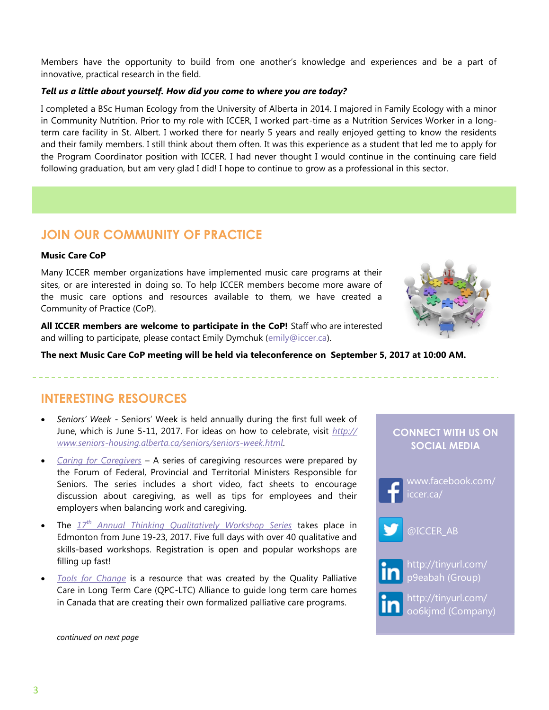Members have the opportunity to build from one another's knowledge and experiences and be a part of innovative, practical research in the field.

#### *Tell us a little about yourself. How did you come to where you are today?*

I completed a BSc Human Ecology from the University of Alberta in 2014. I majored in Family Ecology with a minor in Community Nutrition. Prior to my role with ICCER, I worked part-time as a Nutrition Services Worker in a longterm care facility in St. Albert. I worked there for nearly 5 years and really enjoyed getting to know the residents and their family members. I still think about them often. It was this experience as a student that led me to apply for the Program Coordinator position with ICCER. I had never thought I would continue in the continuing care field following graduation, but am very glad I did! I hope to continue to grow as a professional in this sector.

## **JOIN OUR COMMUNITY OF PRACTICE**

#### **Music Care CoP**

Many ICCER member organizations have implemented music care programs at their sites, or are interested in doing so. To help ICCER members become more aware of the music care options and resources available to them, we have created a Community of Practice (CoP).

**All ICCER members are welcome to participate in the CoP!** Staff who are interested and willing to participate, please contact Emily Dymchuk [\(emily@iccer.ca\).](mailto:emily@iccer.ca)



**The next Music Care CoP meeting will be held via teleconference on September 5, 2017 at 10:00 AM.** 

## **INTERESTING RESOURCES**

- *Seniors' Week*  Seniors' Week is held annually during the first full week of June, which is June 5-11, 2017. For ideas on how to celebrate, visit *[http://](http://www.seniors-housing.alberta.ca/seniors/seniors-week.html) [www.seniors-housing.alberta.ca/seniors/seniors-week.html](http://www.seniors-housing.alberta.ca/seniors/seniors-week.html)*.
- *[Caring for Caregivers](http://www.seniors-housing.alberta.ca/seniors/caring-for-caregivers.html)* A series of caregiving resources were prepared by the Forum of Federal, Provincial and Territorial Ministers Responsible for Seniors. The series includes a short video, fact sheets to encourage discussion about caregiving, as well as tips for employees and their employers when balancing work and caregiving.
- The *17th [Annual Thinking Qualitatively Workshop Series](http://www.cvent.com/events/17th-thinking-qualitatively-workshop-series/event-summary-71134ddcd7e349d699b5214f6be070e2.aspx)* takes place in Edmonton from June 19-23, 2017. Five full days with over 40 qualitative and skills-based workshops. Registration is open and popular workshops are filling up fast!
- *[Tools for Change](http://www.palliativealliance.ca/qpc-ltc-toolkit)* is a resource that was created by the Quality Palliative Care in Long Term Care (QPC-LTC) Alliance to guide long term care homes in Canada that are creating their own formalized palliative care programs.

## **CONNECT WITH US ON SOCIAL MEDIA**



[www.facebook.com/](https://www.facebook.com/iccer.ca/)



[@ICCER\\_AB](https://twitter.com/ICCER_AB)



[http://tinyurl.com/](http://tinyurl.com/p9eabah) [p9eabah](http://tinyurl.com/p9eabah) (Group)



[http://tinyurl.com/](http://tinyurl.com/oo6kjmd) [oo6kjmd](http://tinyurl.com/oo6kjmd) (Company)

*continued on next page*